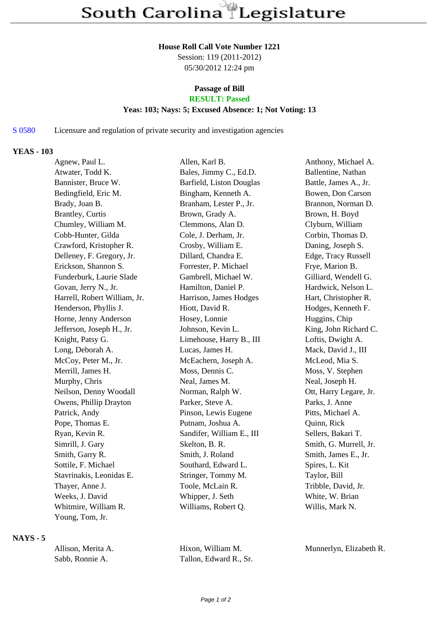### **House Roll Call Vote Number 1221**

Session: 119 (2011-2012) 05/30/2012 12:24 pm

# **Passage of Bill**

## **RESULT: Passed**

## **Yeas: 103; Nays: 5; Excused Absence: 1; Not Voting: 13**

S 0580 Licensure and regulation of private security and investigation agencies

### **YEAS - 103**

| Agnew, Paul L.               | Allen, Karl B.            | Anthony, Michael A.    |
|------------------------------|---------------------------|------------------------|
| Atwater, Todd K.             | Bales, Jimmy C., Ed.D.    | Ballentine, Nathan     |
| Bannister, Bruce W.          | Barfield, Liston Douglas  | Battle, James A., Jr.  |
| Bedingfield, Eric M.         | Bingham, Kenneth A.       | Bowen, Don Carson      |
| Brady, Joan B.               | Branham, Lester P., Jr.   | Brannon, Norman D.     |
| <b>Brantley, Curtis</b>      | Brown, Grady A.           | Brown, H. Boyd         |
| Chumley, William M.          | Clemmons, Alan D.         | Clyburn, William       |
| Cobb-Hunter, Gilda           | Cole, J. Derham, Jr.      | Corbin, Thomas D.      |
| Crawford, Kristopher R.      | Crosby, William E.        | Daning, Joseph S.      |
| Delleney, F. Gregory, Jr.    | Dillard, Chandra E.       | Edge, Tracy Russell    |
| Erickson, Shannon S.         | Forrester, P. Michael     | Frye, Marion B.        |
| Funderburk, Laurie Slade     | Gambrell, Michael W.      | Gilliard, Wendell G.   |
| Govan, Jerry N., Jr.         | Hamilton, Daniel P.       | Hardwick, Nelson L.    |
| Harrell, Robert William, Jr. | Harrison, James Hodges    | Hart, Christopher R.   |
| Henderson, Phyllis J.        | Hiott, David R.           | Hodges, Kenneth F.     |
| Horne, Jenny Anderson        | Hosey, Lonnie             | Huggins, Chip          |
| Jefferson, Joseph H., Jr.    | Johnson, Kevin L.         | King, John Richard C.  |
| Knight, Patsy G.             | Limehouse, Harry B., III  | Loftis, Dwight A.      |
| Long, Deborah A.             | Lucas, James H.           | Mack, David J., III    |
| McCoy, Peter M., Jr.         | McEachern, Joseph A.      | McLeod, Mia S.         |
| Merrill, James H.            | Moss, Dennis C.           | Moss, V. Stephen       |
| Murphy, Chris                | Neal, James M.            | Neal, Joseph H.        |
| Neilson, Denny Woodall       | Norman, Ralph W.          | Ott, Harry Legare, Jr. |
| Owens, Phillip Drayton       | Parker, Steve A.          | Parks, J. Anne         |
| Patrick, Andy                | Pinson, Lewis Eugene      | Pitts, Michael A.      |
| Pope, Thomas E.              | Putnam, Joshua A.         | Quinn, Rick            |
| Ryan, Kevin R.               | Sandifer, William E., III | Sellers, Bakari T.     |
| Simrill, J. Gary             | Skelton, B. R.            | Smith, G. Murrell, Jr. |
| Smith, Garry R.              | Smith, J. Roland          | Smith, James E., Jr.   |
| Sottile, F. Michael          | Southard, Edward L.       | Spires, L. Kit         |
| Stavrinakis, Leonidas E.     | Stringer, Tommy M.        | Taylor, Bill           |
| Thayer, Anne J.              | Toole, McLain R.          | Tribble, David, Jr.    |
| Weeks, J. David              | Whipper, J. Seth          | White, W. Brian        |
| Whitmire, William R.         | Williams, Robert Q.       | Willis, Mark N.        |
| Young, Tom, Jr.              |                           |                        |
|                              |                           |                        |

#### **NAYS - 5**

| Allison. Merita A. | Hixon, William M.      | Munnerlyn, Elizabeth R. |
|--------------------|------------------------|-------------------------|
| Sabb, Ronnie A.    | Tallon, Edward R., Sr. |                         |